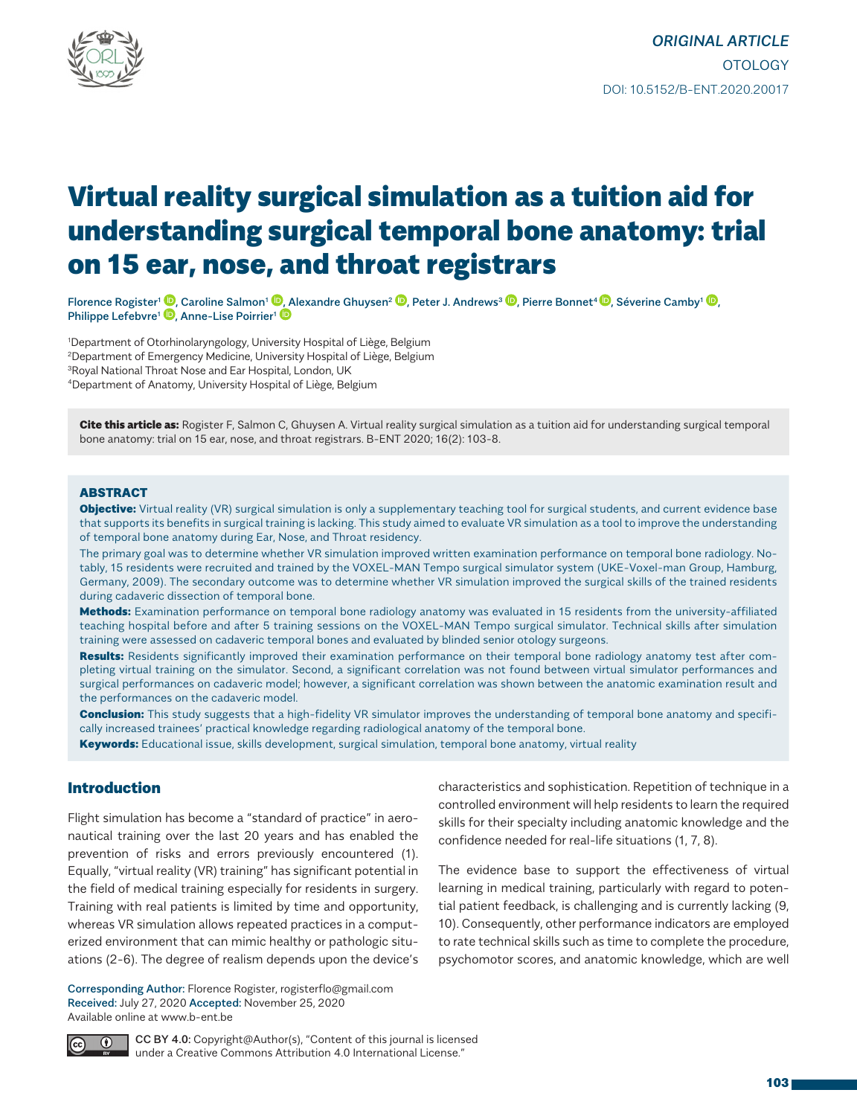

# Virtual reality surgical simulation as a tuition aid for understanding surgical temporal bone anatomy: trial on 15 ear, nose, and throat registrars

Florence Rogister<sup>1</sup> <sup>(D</sup>. Caroline Salmon<sup>1</sup> <sup>(D</sup>. [A](http://orcid.org/0000-0002-1247-2334)lexandre Ghuysen<sup>2</sup> <sup>(D</sup>. Peter J. Andrews<sup>3</sup> <sup>(D</sup>. Pierre Bonnet<sup>4</sup> (D. Séverine Camby<sup>1</sup> (D. Philippe Lefebvre<sup>1</sup> **D**[,](http://orcid.org/0000-0003-3014-1341) Anne-Lise Poirrier<sup>1</sup> **D** 

1 Department of Otorhinolaryngology, University Hospital of Liège, Belgium 2Department of Emergency Medicine, University Hospital of Liège, Belgium 3Royal National Throat Nose and Ear Hospital, London, UK

4Department of Anatomy, University Hospital of Liège, Belgium

Cite this article as: Rogister F, Salmon C, Ghuysen A. Virtual reality surgical simulation as a tuition aid for understanding surgical temporal bone anatomy: trial on 15 ear, nose, and throat registrars. B-ENT 2020; 16(2): 103-8.

#### ABSTRACT

**Objective:** Virtual reality (VR) surgical simulation is only a supplementary teaching tool for surgical students, and current evidence base that supports its benefits in surgical training is lacking. This study aimed to evaluate VR simulation as a tool to improve the understanding of temporal bone anatomy during Ear, Nose, and Throat residency.

The primary goal was to determine whether VR simulation improved written examination performance on temporal bone radiology. Notably, 15 residents were recruited and trained by the VOXEL-MAN Tempo surgical simulator system (UKE-Voxel-man Group, Hamburg, Germany, 2009). The secondary outcome was to determine whether VR simulation improved the surgical skills of the trained residents during cadaveric dissection of temporal bone.

Methods: Examination performance on temporal bone radiology anatomy was evaluated in 15 residents from the university-affiliated teaching hospital before and after 5 training sessions on the VOXEL-MAN Tempo surgical simulator. Technical skills after simulation training were assessed on cadaveric temporal bones and evaluated by blinded senior otology surgeons.

Results: Residents significantly improved their examination performance on their temporal bone radiology anatomy test after completing virtual training on the simulator. Second, a significant correlation was not found between virtual simulator performances and surgical performances on cadaveric model; however, a significant correlation was shown between the anatomic examination result and the performances on the cadaveric model.

**Conclusion:** This study suggests that a high-fidelity VR simulator improves the understanding of temporal bone anatomy and specifically increased trainees' practical knowledge regarding radiological anatomy of the temporal bone.

Keywords: Educational issue, skills development, surgical simulation, temporal bone anatomy, virtual reality

## Introduction

Flight simulation has become a "standard of practice" in aeronautical training over the last 20 years and has enabled the prevention of risks and errors previously encountered (1). Equally, "virtual reality (VR) training" has significant potential in the field of medical training especially for residents in surgery. Training with real patients is limited by time and opportunity, whereas VR simulation allows repeated practices in a computerized environment that can mimic healthy or pathologic situations (2-6). The degree of realism depends upon the device's

Corresponding Author: Florence Rogister, rogisterflo@gmail.com Received: July 27, 2020 Accepted: November 25, 2020 Available online at www.b-ent.be

characteristics and sophistication. Repetition of technique in a controlled environment will help residents to learn the required skills for their specialty including anatomic knowledge and the confidence needed for real-life situations (1, 7, 8).

The evidence base to support the effectiveness of virtual learning in medical training, particularly with regard to potential patient feedback, is challenging and is currently lacking (9, 10). Consequently, other performance indicators are employed to rate technical skills such as time to complete the procedure, psychomotor scores, and anatomic knowledge, which are well



CC BY 4.0: Copyright@Author(s), "Content of this journal is licensed under a Creative Commons Attribution 4.0 International License."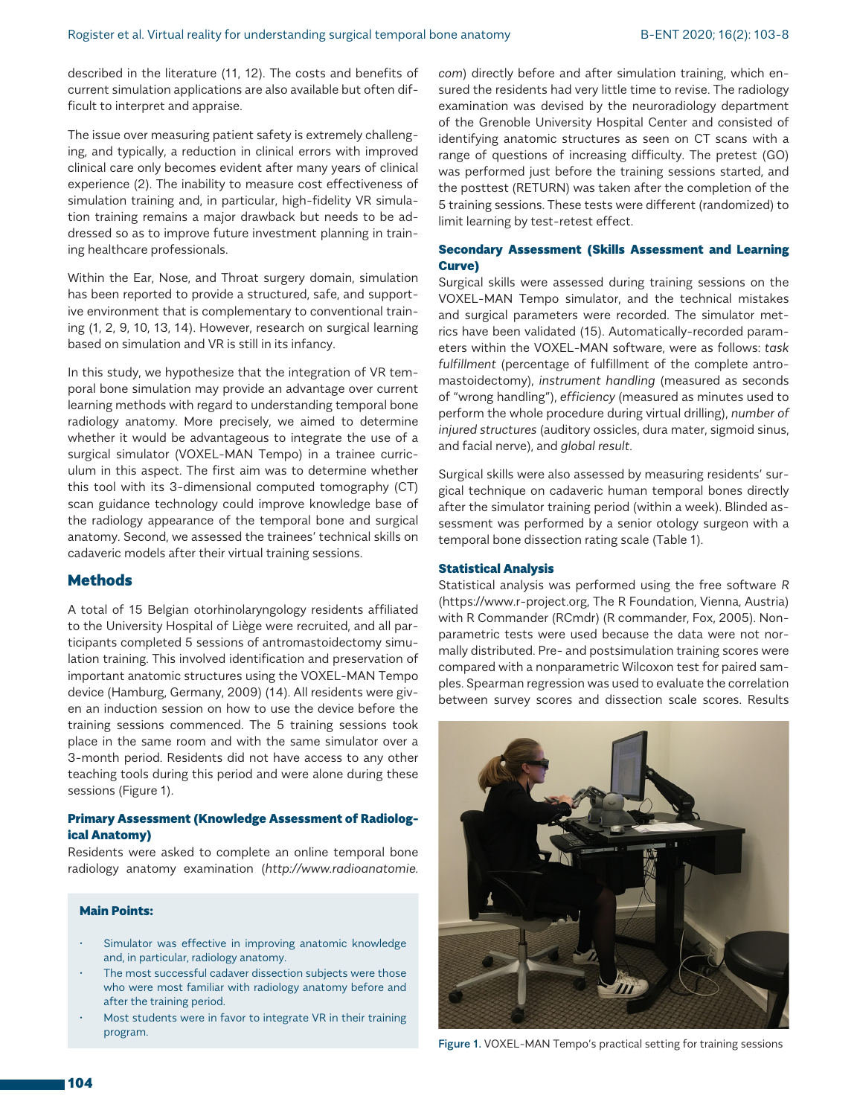described in the literature (11, 12). The costs and benefits of current simulation applications are also available but often difficult to interpret and appraise.

The issue over measuring patient safety is extremely challenging, and typically, a reduction in clinical errors with improved clinical care only becomes evident after many years of clinical experience (2). The inability to measure cost effectiveness of simulation training and, in particular, high-fidelity VR simulation training remains a major drawback but needs to be addressed so as to improve future investment planning in training healthcare professionals.

Within the Ear, Nose, and Throat surgery domain, simulation has been reported to provide a structured, safe, and supportive environment that is complementary to conventional training (1, 2, 9, 10, 13, 14). However, research on surgical learning based on simulation and VR is still in its infancy.

In this study, we hypothesize that the integration of VR temporal bone simulation may provide an advantage over current learning methods with regard to understanding temporal bone radiology anatomy. More precisely, we aimed to determine whether it would be advantageous to integrate the use of a surgical simulator (VOXEL-MAN Tempo) in a trainee curriculum in this aspect. The first aim was to determine whether this tool with its 3-dimensional computed tomography (CT) scan guidance technology could improve knowledge base of the radiology appearance of the temporal bone and surgical anatomy. Second, we assessed the trainees' technical skills on cadaveric models after their virtual training sessions.

## **Methods**

A total of 15 Belgian otorhinolaryngology residents affiliated to the University Hospital of Liège were recruited, and all participants completed 5 sessions of antromastoidectomy simulation training. This involved identification and preservation of important anatomic structures using the VOXEL-MAN Tempo device (Hamburg, Germany, 2009) (14). All residents were given an induction session on how to use the device before the training sessions commenced. The 5 training sessions took place in the same room and with the same simulator over a 3-month period. Residents did not have access to any other teaching tools during this period and were alone during these sessions (Figure 1).

### Primary Assessment (Knowledge Assessment of Radiological Anatomy)

Residents were asked to complete an online temporal bone radiology anatomy examination (*http://www.radioanatomie.*

#### Main Points:

- Simulator was effective in improving anatomic knowledge and, in particular, radiology anatomy.
- The most successful cadaver dissection subjects were those who were most familiar with radiology anatomy before and after the training period.
- Most students were in favor to integrate VR in their training program.

*com*) directly before and after simulation training, which ensured the residents had very little time to revise. The radiology examination was devised by the neuroradiology department of the Grenoble University Hospital Center and consisted of identifying anatomic structures as seen on CT scans with a range of questions of increasing difficulty. The pretest (GO) was performed just before the training sessions started, and the posttest (RETURN) was taken after the completion of the 5 training sessions. These tests were different (randomized) to limit learning by test-retest effect.

### Secondary Assessment (Skills Assessment and Learning Curve)

Surgical skills were assessed during training sessions on the VOXEL-MAN Tempo simulator, and the technical mistakes and surgical parameters were recorded. The simulator metrics have been validated (15). Automatically-recorded parameters within the VOXEL-MAN software, were as follows: *task fulfillment* (percentage of fulfillment of the complete antromastoidectomy), *instrument handling* (measured as seconds of "wrong handling"), *efficiency* (measured as minutes used to perform the whole procedure during virtual drilling), *number of injured structures* (auditory ossicles, dura mater, sigmoid sinus, and facial nerve), and *global result*.

Surgical skills were also assessed by measuring residents' surgical technique on cadaveric human temporal bones directly after the simulator training period (within a week). Blinded assessment was performed by a senior otology surgeon with a temporal bone dissection rating scale (Table 1).

#### Statistical Analysis

Statistical analysis was performed using the free software *R* (https://www.r-project.org, The R Foundation, Vienna, Austria) with R Commander (RCmdr) (R commander, Fox, 2005). Nonparametric tests were used because the data were not normally distributed. Pre- and postsimulation training scores were compared with a nonparametric Wilcoxon test for paired samples. Spearman regression was used to evaluate the correlation between survey scores and dissection scale scores. Results



Figure 1. VOXEL-MAN Tempo's practical setting for training sessions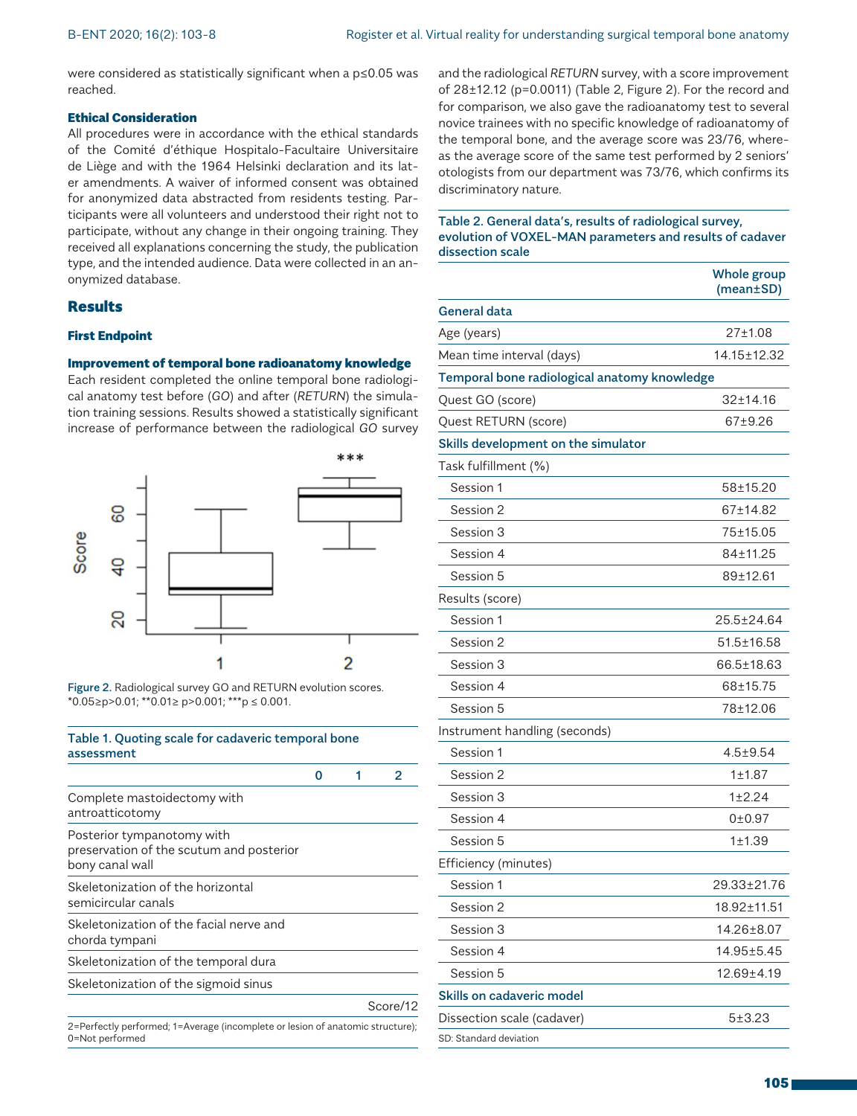were considered as statistically significant when a p≤0.05 was reached.

### Ethical Consideration

All procedures were in accordance with the ethical standards of the Comité d'éthique Hospitalo-Facultaire Universitaire de Liège and with the 1964 Helsinki declaration and its later amendments. A waiver of informed consent was obtained for anonymized data abstracted from residents testing. Participants were all volunteers and understood their right not to participate, without any change in their ongoing training. They received all explanations concerning the study, the publication type, and the intended audience. Data were collected in an anonymized database.

## **Results**

### First Endpoint

### Improvement of temporal bone radioanatomy knowledge

Each resident completed the online temporal bone radiological anatomy test before (*GO*) and after (*RETURN*) the simulation training sessions. Results showed a statistically significant increase of performance between the radiological *GO* survey



Figure 2. Radiological survey GO and RETURN evolution scores. \*0.05≥p>0.01; \*\*0.01≥ p>0.001; \*\*\*p ≤ 0.001.

## Table 1. Quoting scale for cadaveric temporal bone assessment

| Complete mastoidectomy with<br>antroatticotomy                                            |  |          |
|-------------------------------------------------------------------------------------------|--|----------|
| Posterior tympanotomy with<br>preservation of the scutum and posterior<br>bony canal wall |  |          |
| Skeletonization of the horizontal<br>semicircular canals                                  |  |          |
| Skeletonization of the facial nerve and<br>chorda tympani                                 |  |          |
| Skeletonization of the temporal dura                                                      |  |          |
| Skeletonization of the sigmoid sinus                                                      |  |          |
|                                                                                           |  | Score/12 |
| 2=Perfectly performed; 1=Average (incomplete or lesion of anatomic structure);            |  |          |

0=Not performed

and the radiological *RETURN* survey, with a score improvement of 28±12.12 (p=0.0011) (Table 2, Figure 2). For the record and for comparison, we also gave the radioanatomy test to several novice trainees with no specific knowledge of radioanatomy of the temporal bone, and the average score was 23/76, whereas the average score of the same test performed by 2 seniors' otologists from our department was 73/76, which confirms its discriminatory nature.

### Table 2. General data's, results of radiological survey, evolution of VOXEL-MAN parameters and results of cadaver dissection scale

|                                              | Whole group<br>$(mean \pm SD)$ |  |
|----------------------------------------------|--------------------------------|--|
| General data                                 |                                |  |
| Age (years)                                  | 27±1.08                        |  |
| Mean time interval (days)                    | 14.15±12.32                    |  |
| Temporal bone radiological anatomy knowledge |                                |  |
| Quest GO (score)                             | $32 \pm 14.16$                 |  |
| Quest RETURN (score)                         | 67±9.26                        |  |
| Skills development on the simulator          |                                |  |
| Task fulfillment (%)                         |                                |  |
| Session 1                                    | 58±15.20                       |  |
| Session 2                                    | 67±14.82                       |  |
| Session 3                                    | 75±15.05                       |  |
| Session 4                                    | 84±11.25                       |  |
| Session 5                                    | 89±12.61                       |  |
| Results (score)                              |                                |  |
| Session 1                                    | 25.5±24.64                     |  |
| Session 2                                    | 51.5±16.58                     |  |
| Session 3                                    | 66.5±18.63                     |  |
| Session 4                                    | 68±15.75                       |  |
| Session 5                                    | 78±12.06                       |  |
| Instrument handling (seconds)                |                                |  |
| Session 1                                    | $4.5 + 9.54$                   |  |
| Session 2                                    | 1±1.87                         |  |
| Session 3                                    | 1±2.24                         |  |
| Session 4                                    | 0±0.97                         |  |
| Session 5                                    | 1±1.39                         |  |
| Efficiency (minutes)                         |                                |  |
| Session 1                                    | 29.33±21.76                    |  |
| Session 2                                    | 18.92±11.51                    |  |
| Session 3                                    | 14.26±8.07                     |  |
| Session 4                                    | $14.95 \pm 5.45$               |  |
| Session 5                                    | 12.69±4.19                     |  |
| Skills on cadaveric model                    |                                |  |
| Dissection scale (cadaver)                   | $5 + 3.23$                     |  |
| SD: Standard deviation                       |                                |  |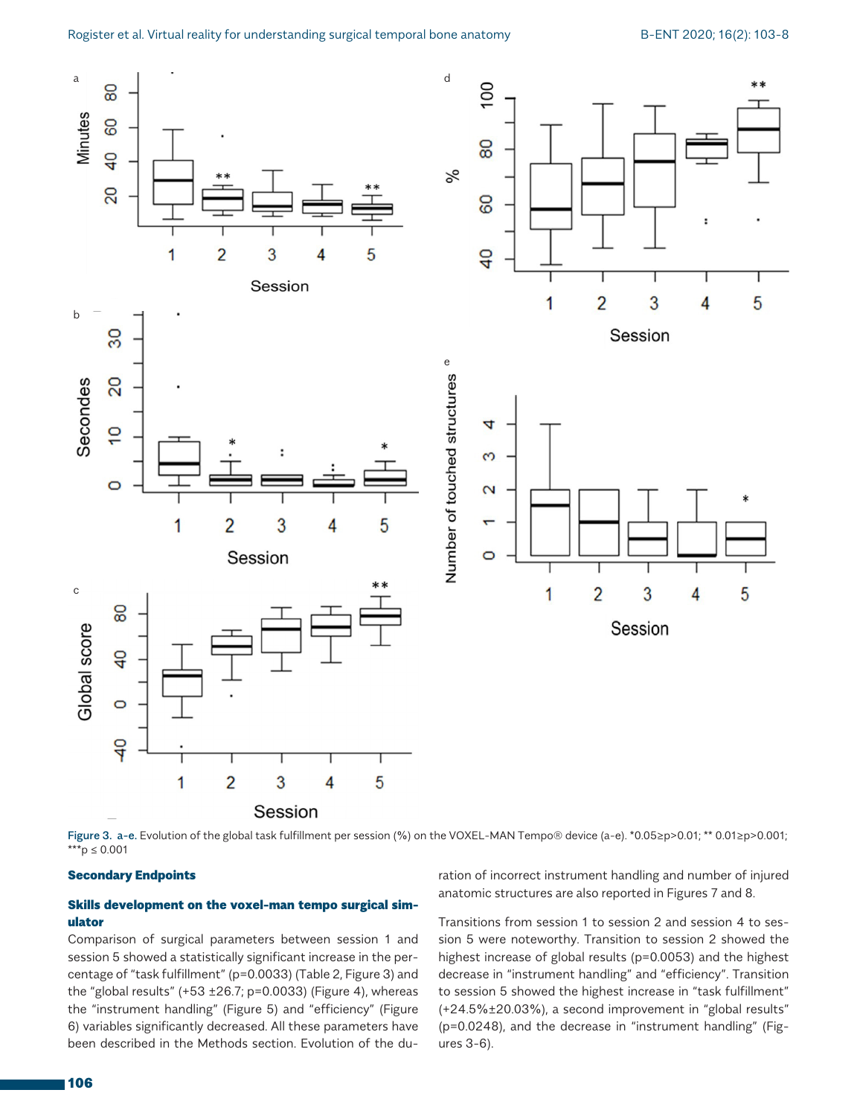

Figure 3. a-e. Evolution of the global task fulfillment per session (%) on the VOXEL-MAN Tempo® device (a-e). \*0.05≥p>0.01; \*\* 0.01≥p>0.001; \*\*\*p ≤ 0.001

#### Secondary Endpoints

## Skills development on the voxel-man tempo surgical simulator

Comparison of surgical parameters between session 1 and session 5 showed a statistically significant increase in the percentage of "task fulfillment" (p=0.0033) (Table 2, Figure 3) and the "global results"  $(+53 \pm 26.7; p=0.0033)$  (Figure 4), whereas the "instrument handling" (Figure 5) and "efficiency" (Figure 6) variables significantly decreased. All these parameters have been described in the Methods section. Evolution of the duration of incorrect instrument handling and number of injured anatomic structures are also reported in Figures 7 and 8.

Transitions from session 1 to session 2 and session 4 to session 5 were noteworthy. Transition to session 2 showed the highest increase of global results (p=0.0053) and the highest decrease in "instrument handling" and "efficiency". Transition to session 5 showed the highest increase in "task fulfillment" (+24.5%±20.03%), a second improvement in "global results" (p=0.0248), and the decrease in "instrument handling" (Figures 3-6).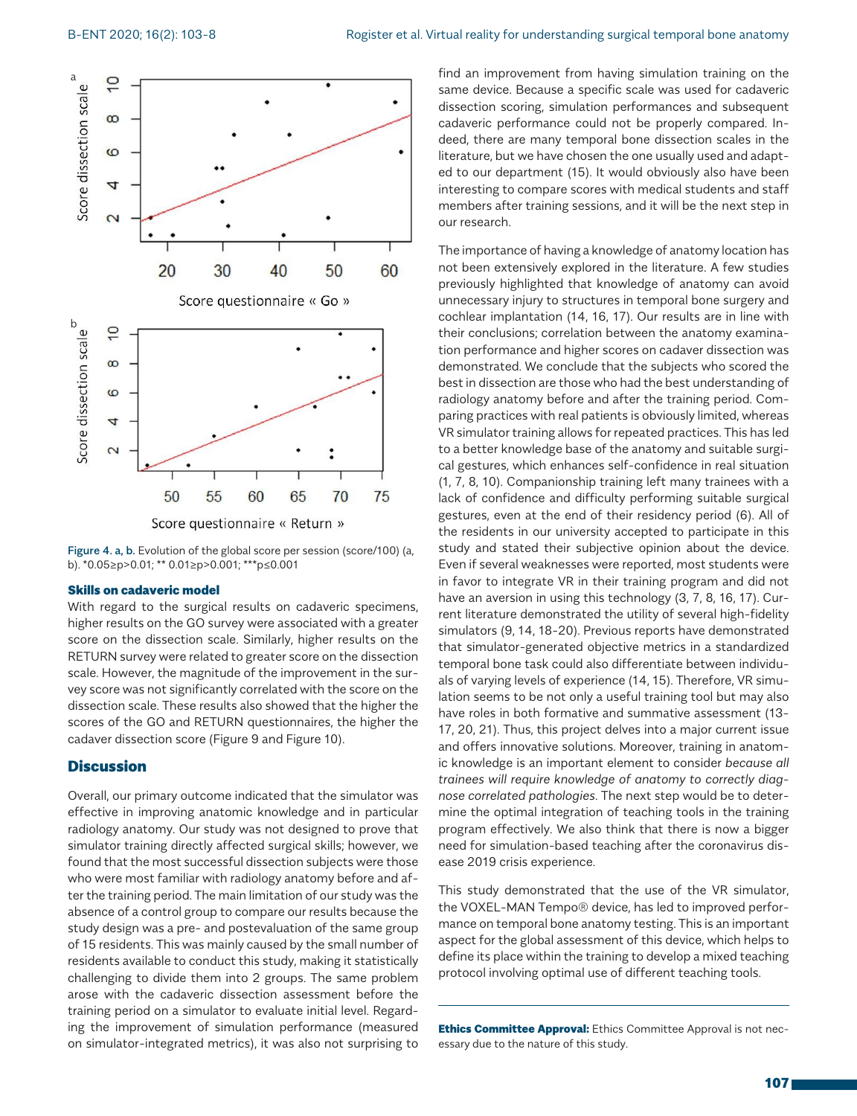

Figure 4. a, b. Evolution of the global score per session (score/100) (a, b). \*0.05≥p>0.01; \*\* 0.01≥p>0.001; \*\*\*p≤0.001

#### Skills on cadaveric model

With regard to the surgical results on cadaveric specimens, higher results on the GO survey were associated with a greater score on the dissection scale. Similarly, higher results on the RETURN survey were related to greater score on the dissection scale. However, the magnitude of the improvement in the survey score was not significantly correlated with the score on the dissection scale. These results also showed that the higher the scores of the GO and RETURN questionnaires, the higher the cadaver dissection score (Figure 9 and Figure 10).

## **Discussion**

Overall, our primary outcome indicated that the simulator was effective in improving anatomic knowledge and in particular radiology anatomy. Our study was not designed to prove that simulator training directly affected surgical skills; however, we found that the most successful dissection subjects were those who were most familiar with radiology anatomy before and after the training period. The main limitation of our study was the absence of a control group to compare our results because the study design was a pre- and postevaluation of the same group of 15 residents. This was mainly caused by the small number of residents available to conduct this study, making it statistically challenging to divide them into 2 groups. The same problem arose with the cadaveric dissection assessment before the training period on a simulator to evaluate initial level. Regarding the improvement of simulation performance (measured on simulator-integrated metrics), it was also not surprising to

find an improvement from having simulation training on the same device. Because a specific scale was used for cadaveric dissection scoring, simulation performances and subsequent cadaveric performance could not be properly compared. Indeed, there are many temporal bone dissection scales in the literature, but we have chosen the one usually used and adapted to our department (15). It would obviously also have been interesting to compare scores with medical students and staff members after training sessions, and it will be the next step in our research.

The importance of having a knowledge of anatomy location has not been extensively explored in the literature. A few studies previously highlighted that knowledge of anatomy can avoid unnecessary injury to structures in temporal bone surgery and cochlear implantation (14, 16, 17). Our results are in line with their conclusions; correlation between the anatomy examination performance and higher scores on cadaver dissection was demonstrated. We conclude that the subjects who scored the best in dissection are those who had the best understanding of radiology anatomy before and after the training period. Comparing practices with real patients is obviously limited, whereas VR simulator training allows for repeated practices. This has led to a better knowledge base of the anatomy and suitable surgical gestures, which enhances self-confidence in real situation (1, 7, 8, 10). Companionship training left many trainees with a lack of confidence and difficulty performing suitable surgical gestures, even at the end of their residency period (6). All of the residents in our university accepted to participate in this study and stated their subjective opinion about the device. Even if several weaknesses were reported, most students were in favor to integrate VR in their training program and did not have an aversion in using this technology (3, 7, 8, 16, 17). Current literature demonstrated the utility of several high-fidelity simulators (9, 14, 18-20). Previous reports have demonstrated that simulator-generated objective metrics in a standardized temporal bone task could also differentiate between individuals of varying levels of experience (14, 15). Therefore, VR simulation seems to be not only a useful training tool but may also have roles in both formative and summative assessment (13- 17, 20, 21). Thus, this project delves into a major current issue and offers innovative solutions. Moreover, training in anatomic knowledge is an important element to consider *because all trainees will require knowledge of anatomy to correctly diagnose correlated pathologies*. The next step would be to determine the optimal integration of teaching tools in the training program effectively. We also think that there is now a bigger need for simulation-based teaching after the coronavirus disease 2019 crisis experience.

This study demonstrated that the use of the VR simulator, the VOXEL-MAN Tempo® device, has led to improved performance on temporal bone anatomy testing. This is an important aspect for the global assessment of this device, which helps to define its place within the training to develop a mixed teaching protocol involving optimal use of different teaching tools.

Ethics Committee Approval: Ethics Committee Approval is not necessary due to the nature of this study.